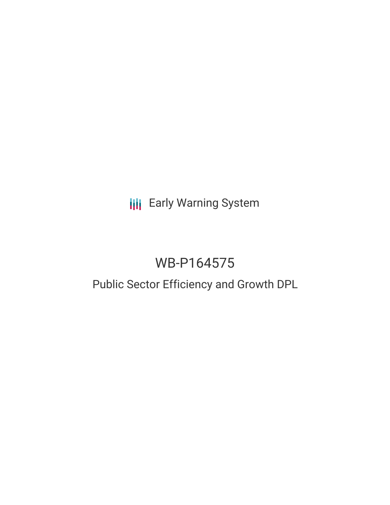# **III** Early Warning System

# WB-P164575

# Public Sector Efficiency and Growth DPL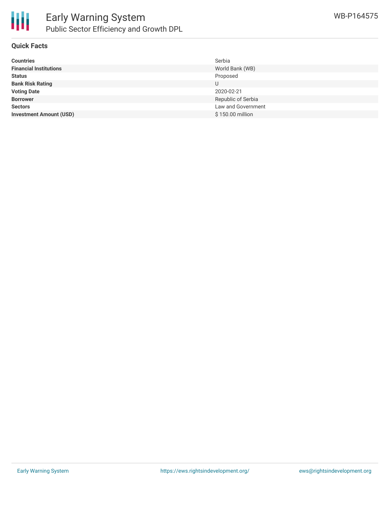

### **Quick Facts**

| <b>Countries</b>               | Serbia             |
|--------------------------------|--------------------|
| <b>Financial Institutions</b>  | World Bank (WB)    |
| <b>Status</b>                  | Proposed           |
| <b>Bank Risk Rating</b>        | U                  |
| <b>Voting Date</b>             | 2020-02-21         |
| <b>Borrower</b>                | Republic of Serbia |
| <b>Sectors</b>                 | Law and Government |
| <b>Investment Amount (USD)</b> | \$150.00 million   |
|                                |                    |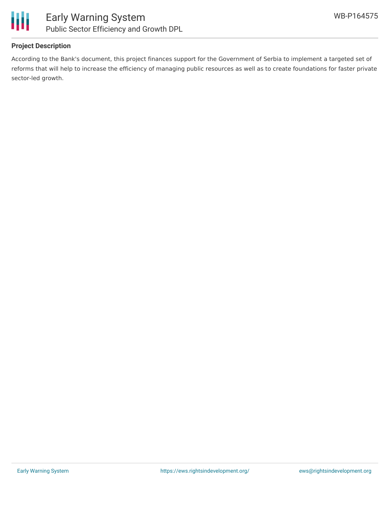



## **Project Description**

According to the Bank's document, this project finances support for the Government of Serbia to implement a targeted set of reforms that will help to increase the efficiency of managing public resources as well as to create foundations for faster private sector-led growth.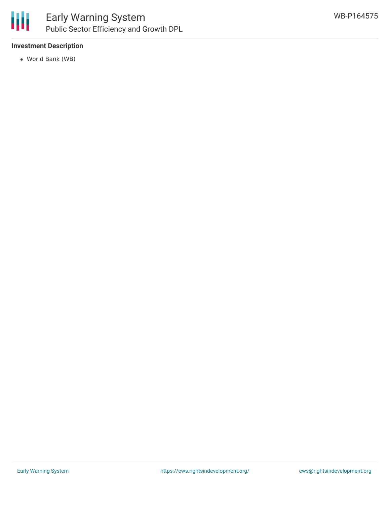

# Early Warning System Public Sector Efficiency and Growth DPL

## **Investment Description**

World Bank (WB)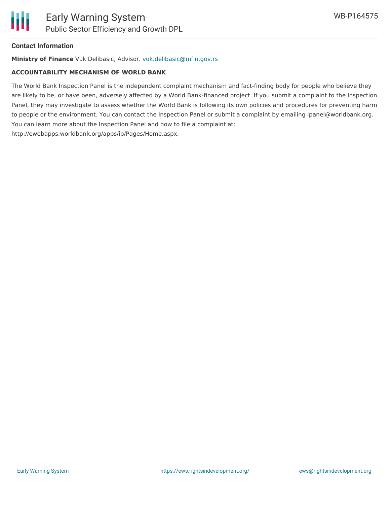### **Contact Information**

**Ministry of Finance** Vuk Delibasic, Advisor. [vuk.delibasic@mfin.gov.rs](mailto:vuk.delibasic@mfin.gov.rs)

#### **ACCOUNTABILITY MECHANISM OF WORLD BANK**

The World Bank Inspection Panel is the independent complaint mechanism and fact-finding body for people who believe they are likely to be, or have been, adversely affected by a World Bank-financed project. If you submit a complaint to the Inspection Panel, they may investigate to assess whether the World Bank is following its own policies and procedures for preventing harm to people or the environment. You can contact the Inspection Panel or submit a complaint by emailing ipanel@worldbank.org. You can learn more about the Inspection Panel and how to file a complaint at: http://ewebapps.worldbank.org/apps/ip/Pages/Home.aspx.